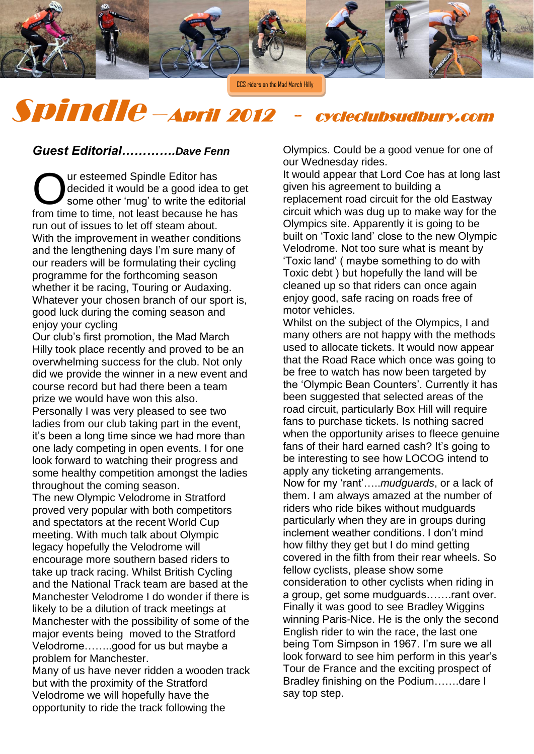

CCS riders on the Mad March Hilly

Spindle –April 2012 - cycleclubsudbury.com

## *Guest Editorial………….Dave Fenn*

ur esteemed Spindle Editor has decided it would be a good idea to get some other 'mug' to write the editorial Our esteemed Spindle Editor has<br>
Some other 'mug' to write the editoria<br>
from time to time, not least because he has run out of issues to let off steam about. With the improvement in weather conditions and the lengthening days I'm sure many of our readers will be formulating their cycling programme for the forthcoming season whether it be racing, Touring or Audaxing. Whatever your chosen branch of our sport is, good luck during the coming season and enjoy your cycling

Our club's first promotion, the Mad March Hilly took place recently and proved to be an overwhelming success for the club. Not only did we provide the winner in a new event and course record but had there been a team prize we would have won this also.

Personally I was very pleased to see two ladies from our club taking part in the event, it's been a long time since we had more than one lady competing in open events. I for one look forward to watching their progress and some healthy competition amongst the ladies throughout the coming season.

The new Olympic Velodrome in Stratford proved very popular with both competitors and spectators at the recent World Cup meeting. With much talk about Olympic legacy hopefully the Velodrome will encourage more southern based riders to take up track racing. Whilst British Cycling and the National Track team are based at the Manchester Velodrome I do wonder if there is likely to be a dilution of track meetings at Manchester with the possibility of some of the major events being moved to the Stratford Velodrome……..good for us but maybe a problem for Manchester.

Many of us have never ridden a wooden track but with the proximity of the Stratford Velodrome we will hopefully have the opportunity to ride the track following the

Olympics. Could be a good venue for one of our Wednesday rides.

It would appear that Lord Coe has at long last given his agreement to building a replacement road circuit for the old Eastway circuit which was dug up to make way for the Olympics site. Apparently it is going to be built on 'Toxic land' close to the new Olympic Velodrome. Not too sure what is meant by 'Toxic land' ( maybe something to do with Toxic debt ) but hopefully the land will be cleaned up so that riders can once again enjoy good, safe racing on roads free of motor vehicles.

Whilst on the subject of the Olympics, I and many others are not happy with the methods used to allocate tickets. It would now appear that the Road Race which once was going to be free to watch has now been targeted by the 'Olympic Bean Counters'. Currently it has been suggested that selected areas of the road circuit, particularly Box Hill will require fans to purchase tickets. Is nothing sacred when the opportunity arises to fleece genuine fans of their hard earned cash? It's going to be interesting to see how LOCOG intend to apply any ticketing arrangements. Now for my 'rant'…..*mudguards*, or a lack of them. I am always amazed at the number of riders who ride bikes without mudguards particularly when they are in groups during inclement weather conditions. I don't mind how filthy they get but I do mind getting covered in the filth from their rear wheels. So fellow cyclists, please show some consideration to other cyclists when riding in a group, get some mudguards…….rant over. Finally it was good to see Bradley Wiggins winning Paris-Nice. He is the only the second English rider to win the race, the last one being Tom Simpson in 1967. I'm sure we all look forward to see him perform in this year's Tour de France and the exciting prospect of Bradley finishing on the Podium…….dare I say top step.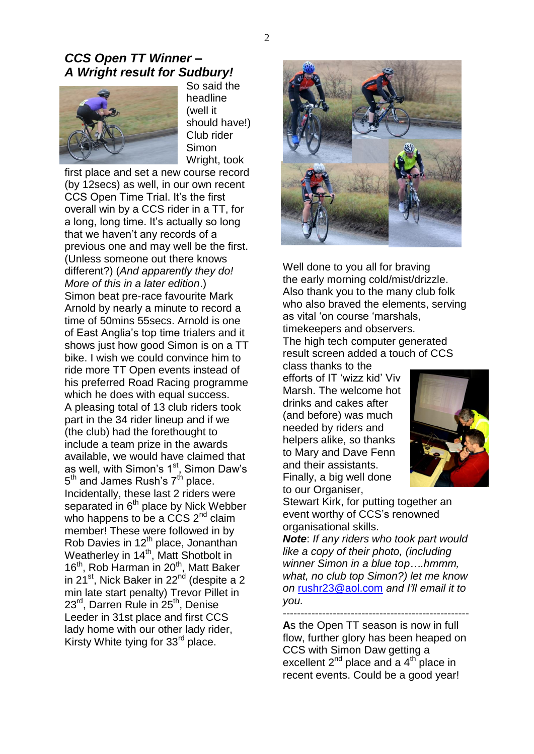## *CCS Open TT Winner – A Wright result for Sudbury!*



So said the headline (well it should have!) Club rider Simon Wright, took

first place and set a new course record (by 12secs) as well, in our own recent CCS Open Time Trial. It's the first overall win by a CCS rider in a TT, for a long, long time. It's actually so long that we haven't any records of a previous one and may well be the first. (Unless someone out there knows different?) (*And apparently they do! More of this in a later edition*.) Simon beat pre-race favourite Mark Arnold by nearly a minute to record a time of 50mins 55secs. Arnold is one of East Anglia's top time trialers and it shows just how good Simon is on a TT bike. I wish we could convince him to ride more TT Open events instead of his preferred Road Racing programme which he does with equal success. A pleasing total of 13 club riders took part in the 34 rider lineup and if we (the club) had the forethought to include a team prize in the awards available, we would have claimed that as well, with Simon's 1<sup>st</sup>, Simon Daw's 5<sup>th</sup> and James Rush's 7<sup>th</sup> place. Incidentally, these last 2 riders were separated in 6<sup>th</sup> place by Nick Webber who happens to be a CCS 2<sup>nd</sup> claim member! These were followed in by Rob Davies in 12<sup>th</sup> place, Jonanthan Weatherley in 14<sup>th</sup>, Matt Shotbolt in 16<sup>th</sup>, Rob Harman in 20<sup>th</sup>, Matt Baker in 21<sup>st</sup>, Nick Baker in 22<sup>nd</sup> (despite a 2 min late start penalty) Trevor Pillet in 23<sup>rd</sup>, Darren Rule in 25<sup>th</sup>, Denise Leeder in 31st place and first CCS lady home with our other lady rider, Kirsty White tying for 33<sup>rd</sup> place.



Well done to you all for braving the early morning cold/mist/drizzle. Also thank you to the many club folk who also braved the elements, serving as vital 'on course 'marshals, timekeepers and observers. The high tech computer generated result screen added a touch of CCS

class thanks to the efforts of IT 'wizz kid' Viv Marsh. The welcome hot drinks and cakes after (and before) was much needed by riders and helpers alike, so thanks to Mary and Dave Fenn and their assistants. Finally, a big well done to our Organiser,



Stewart Kirk, for putting together an event worthy of CCS's renowned organisational skills.

*Note*: *If any riders who took part would like a copy of their photo, (including winner Simon in a blue top….hmmm, what, no club top Simon?) let me know on* [rushr23@aol.com](mailto:rushr23@aol.com) *and I'll email it to you.*

---------------------------------------------------- **A**s the Open TT season is now in full flow, further glory has been heaped on CCS with Simon Daw getting a excellent  $2^{nd}$  place and a  $4^{th}$  place in recent events. Could be a good year!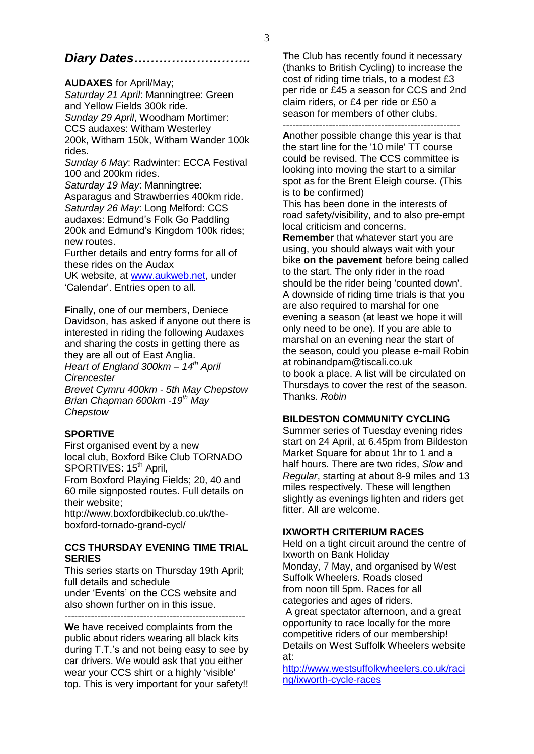# *Diary Dates……………………….*

#### **AUDAXES** for April/May;

*Saturday 21 April*: Manningtree: Green and Yellow Fields 300k ride. *Sunday 29 April*, Woodham Mortimer: CCS audaxes: Witham Westerley 200k, Witham 150k, Witham Wander 100k rides.

*Sunday 6 May*: Radwinter: ECCA Festival 100 and 200km rides.

*Saturday 19 May*: Manningtree: Asparagus and Strawberries 400km ride. *Saturday 26 May*: Long Melford: CCS audaxes: Edmund's Folk Go Paddling 200k and Edmund's Kingdom 100k rides; new routes.

Further details and entry forms for all of these rides on the Audax

UK website, at [www.aukweb.net,](http://www.aukweb.net/) under 'Calendar'. Entries open to all.

**F**inally, one of our members, Deniece Davidson, has asked if anyone out there is interested in riding the following Audaxes and sharing the costs in getting there as they are all out of East Anglia.

*Heart of England 300km – 14th April Cirencester*

*Brevet Cymru 400km - 5th May Chepstow Brian Chapman 600km -19th May Chepstow* 

## **SPORTIVE**

First organised event by a new local club, Boxford Bike Club TORNADO SPORTIVES: 15<sup>th</sup> April,

From Boxford Playing Fields; 20, 40 and 60 mile signposted routes. Full details on their website;

http://www.boxfordbikeclub.co.uk/theboxford-tornado-grand-cycl/

#### **CCS THURSDAY EVENING TIME TRIAL SERIES**

This series starts on Thursday 19th April; full details and schedule

under 'Events' on the CCS website and also shown further on in this issue.

 $-$ 

**W**e have received complaints from the public about riders wearing all black kits during T.T.'s and not being easy to see by car drivers. We would ask that you either wear your CCS shirt or a highly 'visible' top. This is very important for your safety!!

**T**he Club has recently found it necessary (thanks to British Cycling) to increase the cost of riding time trials, to a modest £3 per ride or £45 a season for CCS and 2nd claim riders, or £4 per ride or £50 a season for members of other clubs.

------------------------------------------------------ **A**nother possible change this year is that the start line for the '10 mile' TT course could be revised. The CCS committee is looking into moving the start to a similar spot as for the Brent Eleigh course. (This is to be confirmed)

This has been done in the interests of road safety/visibility, and to also pre-empt local criticism and concerns.

**Remember** that whatever start you are using, you should always wait with your bike **on the pavement** before being called to the start. The only rider in the road should be the rider being 'counted down'. A downside of riding time trials is that you are also required to marshal for one evening a season (at least we hope it will only need to be one). If you are able to marshal on an evening near the start of the season, could you please e-mail Robin at robinandpam@tiscali.co.uk to book a place. A list will be circulated on Thursdays to cover the rest of the season. Thanks. *Robin*

## **BILDESTON COMMUNITY CYCLING**

Summer series of Tuesday evening rides start on 24 April, at 6.45pm from Bildeston Market Square for about 1hr to 1 and a half hours. There are two rides, *Slow* and *Regular*, starting at about 8-9 miles and 13 miles respectively. These will lengthen slightly as evenings lighten and riders get fitter. All are welcome.

## **IXWORTH CRITERIUM RACES**

Held on a tight circuit around the centre of Ixworth on Bank Holiday Monday, 7 May, and organised by West Suffolk Wheelers. Roads closed from noon till 5pm. Races for all categories and ages of riders.

A great spectator afternoon, and a great opportunity to race locally for the more competitive riders of our membership! Details on West Suffolk Wheelers website at:

[http://www.westsuffolkwheelers.co.uk/raci](http://www.westsuffolkwheelers.co.uk/racing/ixworth-cycle-races) [ng/ixworth-cycle-races](http://www.westsuffolkwheelers.co.uk/racing/ixworth-cycle-races)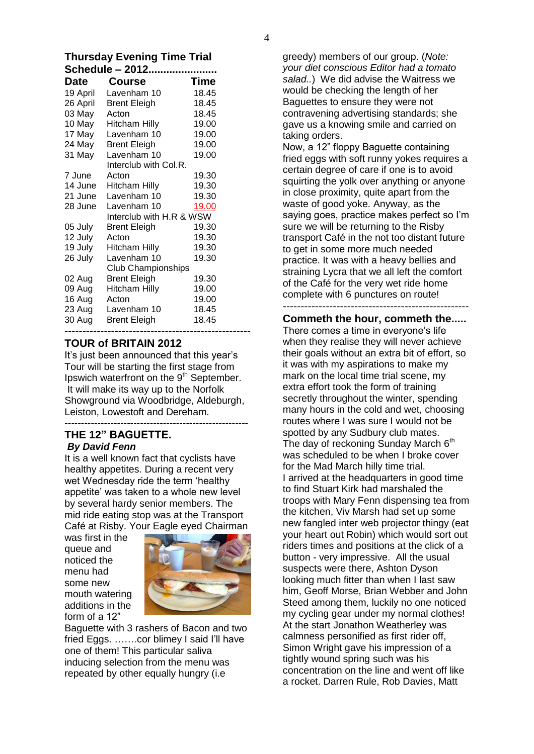# **Thursday Evening Time Trial**

| Schedule - 2012 |                           |             |  |  |  |  |  |
|-----------------|---------------------------|-------------|--|--|--|--|--|
| Date            | <b>Course</b>             | <b>Time</b> |  |  |  |  |  |
| 19 April        | Lavenham 10               | - 18.45     |  |  |  |  |  |
| 26 April        | <b>Brent Eleigh</b>       | 18.45       |  |  |  |  |  |
| 03 May          | Acton                     | 18.45       |  |  |  |  |  |
| 10 May          | <b>Hitcham Hilly</b>      | 19.00       |  |  |  |  |  |
| 17 May          | Lavenham 10               | 19.00       |  |  |  |  |  |
| 24 May          | <b>Brent Eleigh</b>       | 19.00       |  |  |  |  |  |
| 31 May          | Lavenham 10               | 19.00       |  |  |  |  |  |
|                 | Interclub with Col.R.     |             |  |  |  |  |  |
| 7 June          | Acton                     | 19.30       |  |  |  |  |  |
| 14 June         | Hitcham Hilly             | 19.30       |  |  |  |  |  |
| 21 June         | Lavenham 10               | 19.30       |  |  |  |  |  |
| 28 June         | Lavenham 10               | 19.00       |  |  |  |  |  |
|                 | Interclub with H.R & WSW  |             |  |  |  |  |  |
| 05 July         | <b>Brent Eleigh</b>       | 19.30       |  |  |  |  |  |
| 12 July         | Acton                     | 19.30       |  |  |  |  |  |
| 19 July         | <b>Hitcham Hilly</b>      | 19.30       |  |  |  |  |  |
| 26 July         | Lavenham 10               | 19.30       |  |  |  |  |  |
|                 | <b>Club Championships</b> |             |  |  |  |  |  |
| 02 Aug          | <b>Brent Eleigh</b>       | 19.30       |  |  |  |  |  |
| 09 Aug          | <b>Hitcham Hilly</b>      | 19.00       |  |  |  |  |  |
| 16 Aug          | Acton                     | 19.00       |  |  |  |  |  |
| 23 Aug          | Lavenham 10               | 18.45       |  |  |  |  |  |
| 30 Aug          | <b>Brent Eleigh</b>       | 18.45       |  |  |  |  |  |
|                 |                           |             |  |  |  |  |  |

#### **TOUR of BRITAIN 2012**

It's just been announced that this year's Tour will be starting the first stage from Ipswich waterfront on the 9<sup>th</sup> September. It will make its way up to the Norfolk Showground via Woodbridge, Aldeburgh, Leiston, Lowestoft and Dereham.

#### -------------------------------------------------------- **THE 12" BAGUETTE.**  *By David Fenn*

It is a well known fact that cyclists have healthy appetites. During a recent very wet Wednesday ride the term 'healthy appetite' was taken to a whole new level by several hardy senior members. The mid ride eating stop was at the Transport Café at Risby. Your Eagle eyed Chairman

was first in the queue and noticed the menu had some new mouth watering additions in the form of a 12"



Baguette with 3 rashers of Bacon and two fried Eggs. …….cor blimey I said I'll have one of them! This particular saliva inducing selection from the menu was repeated by other equally hungry (i.e

greedy) members of our group. (*Note: your diet conscious Editor had a tomato salad..*) We did advise the Waitress we would be checking the length of her Baguettes to ensure they were not contravening advertising standards; she gave us a knowing smile and carried on taking orders.

Now, a 12" floppy Baguette containing fried eggs with soft runny yokes requires a certain degree of care if one is to avoid squirting the yolk over anything or anyone in close proximity, quite apart from the waste of good yoke. Anyway, as the saying goes, practice makes perfect so I'm sure we will be returning to the Risby transport Café in the not too distant future to get in some more much needed practice. It was with a heavy bellies and straining Lycra that we all left the comfort of the Café for the very wet ride home complete with 6 punctures on route!

---------------------------------------------------- **Commeth the hour, commeth the.....** There comes a time in everyone's life when they realise they will never achieve their goals without an extra bit of effort, so it was with my aspirations to make my mark on the local time trial scene, my extra effort took the form of training secretly throughout the winter, spending many hours in the cold and wet, choosing routes where I was sure I would not be spotted by any Sudbury club mates. The day of reckoning Sunday March  $6<sup>th</sup>$ was scheduled to be when I broke cover for the Mad March hilly time trial. I arrived at the headquarters in good time to find Stuart Kirk had marshaled the troops with Mary Fenn dispensing tea from the kitchen, Viv Marsh had set up some new fangled inter web projector thingy (eat your heart out Robin) which would sort out riders times and positions at the click of a button - very impressive. All the usual suspects were there, Ashton Dyson looking much fitter than when I last saw him, Geoff Morse, Brian Webber and John Steed among them, luckily no one noticed my cycling gear under my normal clothes! At the start Jonathon Weatherley was calmness personified as first rider off, Simon Wright gave his impression of a tightly wound spring such was his concentration on the line and went off like a rocket. Darren Rule, Rob Davies, Matt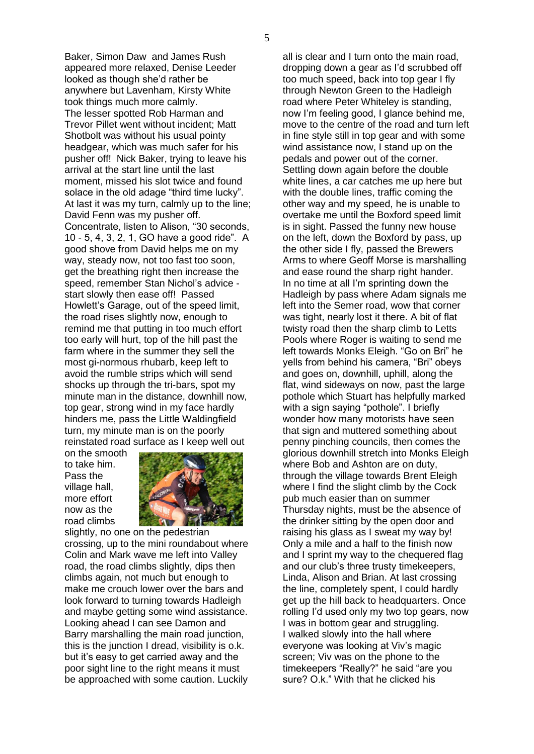Baker, Simon Daw and James Rush appeared more relaxed, Denise Leeder looked as though she'd rather be anywhere but Lavenham, Kirsty White took things much more calmly. The lesser spotted Rob Harman and Trevor Pillet went without incident; Matt Shotbolt was without his usual pointy headgear, which was much safer for his pusher off! Nick Baker, trying to leave his arrival at the start line until the last moment, missed his slot twice and found solace in the old adage "third time lucky". At last it was my turn, calmly up to the line; David Fenn was my pusher off. Concentrate, listen to Alison, "30 seconds, 10 - 5, 4, 3, 2, 1, GO have a good ride". A good shove from David helps me on my way, steady now, not too fast too soon, get the breathing right then increase the speed, remember Stan Nichol's advice start slowly then ease off! Passed Howlett's Garage, out of the speed limit, the road rises slightly now, enough to remind me that putting in too much effort too early will hurt, top of the hill past the farm where in the summer they sell the most gi-normous rhubarb, keep left to avoid the rumble strips which will send shocks up through the tri-bars, spot my minute man in the distance, downhill now, top gear, strong wind in my face hardly hinders me, pass the Little Waldingfield turn, my minute man is on the poorly reinstated road surface as I keep well out

on the smooth to take him. Pass the village hall, more effort now as the road climbs



slightly, no one on the pedestrian crossing, up to the mini roundabout where Colin and Mark wave me left into Valley road, the road climbs slightly, dips then climbs again, not much but enough to make me crouch lower over the bars and look forward to turning towards Hadleigh and maybe getting some wind assistance. Looking ahead I can see Damon and Barry marshalling the main road junction, this is the junction I dread, visibility is o.k. but it's easy to get carried away and the poor sight line to the right means it must be approached with some caution. Luckily

all is clear and I turn onto the main road, dropping down a gear as I'd scrubbed off too much speed, back into top gear I fly through Newton Green to the Hadleigh road where Peter Whiteley is standing, now I'm feeling good, I glance behind me, move to the centre of the road and turn left in fine style still in top gear and with some wind assistance now, I stand up on the pedals and power out of the corner. Settling down again before the double white lines, a car catches me up here but with the double lines, traffic coming the other way and my speed, he is unable to overtake me until the Boxford speed limit is in sight. Passed the funny new house on the left, down the Boxford by pass, up the other side I fly, passed the Brewers Arms to where Geoff Morse is marshalling and ease round the sharp right hander. In no time at all I'm sprinting down the Hadleigh by pass where Adam signals me left into the Semer road, wow that corner was tight, nearly lost it there. A bit of flat twisty road then the sharp climb to Letts Pools where Roger is waiting to send me left towards Monks Eleigh. "Go on Bri" he yells from behind his camera, "Bri" obeys and goes on, downhill, uphill, along the flat, wind sideways on now, past the large pothole which Stuart has helpfully marked with a sign saying "pothole". I briefly wonder how many motorists have seen that sign and muttered something about penny pinching councils, then comes the glorious downhill stretch into Monks Eleigh where Bob and Ashton are on duty, through the village towards Brent Eleigh where I find the slight climb by the Cock pub much easier than on summer Thursday nights, must be the absence of the drinker sitting by the open door and raising his glass as I sweat my way by! Only a mile and a half to the finish now and I sprint my way to the chequered flag and our club's three trusty timekeepers, Linda, Alison and Brian. At last crossing the line, completely spent, I could hardly get up the hill back to headquarters. Once rolling I'd used only my two top gears, now I was in bottom gear and struggling. I walked slowly into the hall where everyone was looking at Viv's magic screen; Viv was on the phone to the timekeepers "Really?" he said "are you sure? O.k." With that he clicked his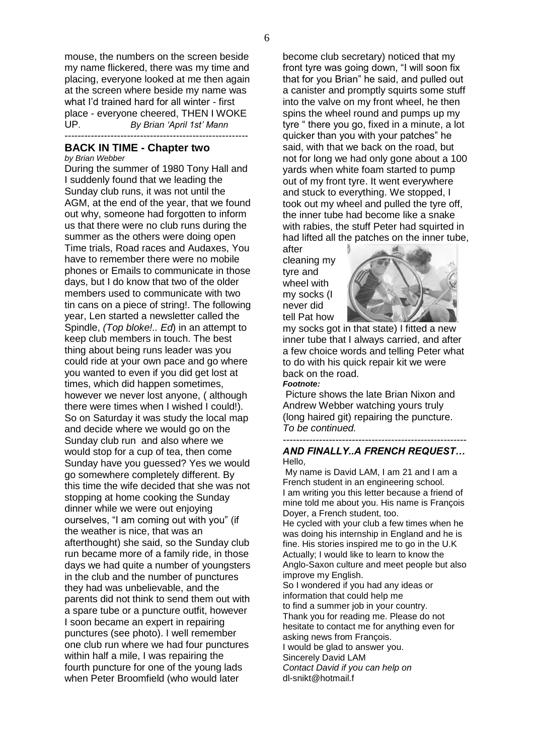mouse, the numbers on the screen beside my name flickered, there was my time and placing, everyone looked at me then again at the screen where beside my name was what I'd trained hard for all winter - first place - everyone cheered, THEN I WOKE UP. *By Brian 'April 1st' Mann* --------------------------------------------------------

## **BACK IN TIME - Chapter two**

*by Brian Webber*

During the summer of 1980 Tony Hall and I suddenly found that we leading the Sunday club runs, it was not until the AGM, at the end of the year, that we found out why, someone had forgotten to inform us that there were no club runs during the summer as the others were doing open Time trials, Road races and Audaxes, You have to remember there were no mobile phones or Emails to communicate in those days, but I do know that two of the older members used to communicate with two tin cans on a piece of string!. The following year, Len started a newsletter called the Spindle, *(Top bloke!.. Ed*) in an attempt to keep club members in touch. The best thing about being runs leader was you could ride at your own pace and go where you wanted to even if you did get lost at times, which did happen sometimes, however we never lost anyone, ( although there were times when I wished I could!). So on Saturday it was study the local map and decide where we would go on the Sunday club run and also where we would stop for a cup of tea, then come Sunday have you guessed? Yes we would go somewhere completely different. By this time the wife decided that she was not stopping at home cooking the Sunday dinner while we were out enjoying ourselves, "I am coming out with you" (if the weather is nice, that was an afterthought) she said, so the Sunday club run became more of a family ride, in those days we had quite a number of youngsters in the club and the number of punctures they had was unbelievable, and the parents did not think to send them out with a spare tube or a puncture outfit, however I soon became an expert in repairing punctures (see photo). I well remember one club run where we had four punctures within half a mile, I was repairing the fourth puncture for one of the young lads when Peter Broomfield (who would later

become club secretary) noticed that my front tyre was going down, "I will soon fix that for you Brian" he said, and pulled out a canister and promptly squirts some stuff into the valve on my front wheel, he then spins the wheel round and pumps up my tyre " there you go, fixed in a minute, a lot quicker than you with your patches" he said, with that we back on the road, but not for long we had only gone about a 100 yards when white foam started to pump out of my front tyre. It went everywhere and stuck to everything. We stopped, I took out my wheel and pulled the tyre off, the inner tube had become like a snake with rabies, the stuff Peter had squirted in had lifted all the patches on the inner tube,

after cleaning my tyre and wheel with my socks (I never did tell Pat how



my socks got in that state) I fitted a new inner tube that I always carried, and after a few choice words and telling Peter what to do with his quick repair kit we were back on the road. *Footnote:* 

Picture shows the late Brian Nixon and Andrew Webber watching yours truly (long haired git) repairing the puncture. *To be continued.*

#### *-------------------------------------------------------- AND FINALLY..A FRENCH REQUEST…* Hello,

My name is David LAM, I am 21 and I am a French student in an engineering school. I am writing you this letter because a friend of mine told me about you. His name is François Doyer, a French student, too.

He cycled with your club a few times when he was doing his internship in England and he is fine. His stories inspired me to go in the U.K Actually; I would like to learn to know the Anglo-Saxon culture and meet people but also improve my English.

So I wondered if you had any ideas or information that could help me to find a summer job in your country. Thank you for reading me. Please do not hesitate to contact me for anything even for asking news from François. I would be glad to answer you. Sincerely David LAM

*Contact David if you can help on*  dl-snikt@hotmail.f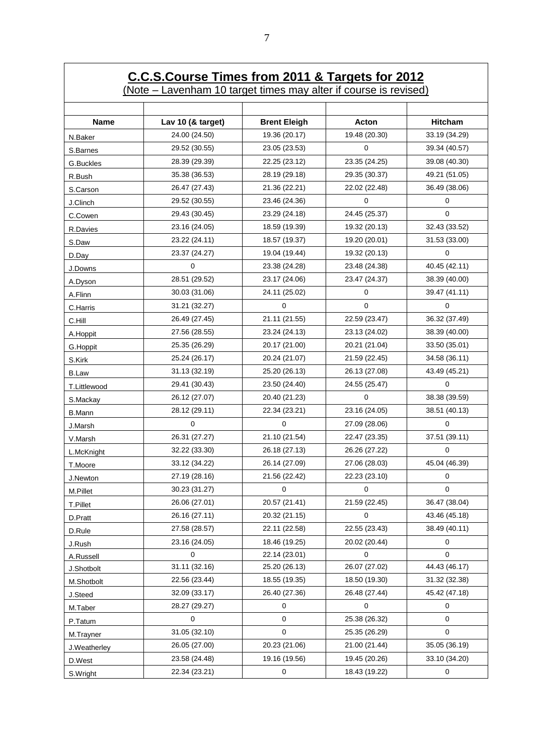# **C.C.S.Course Times from 2011 & Targets for 2012**

(Note – Lavenham 10 target times may alter if course is revised)

| <b>Name</b>   | Lav 10 (& target) | <b>Brent Eleigh</b> | <b>Acton</b>  | <b>Hitcham</b> |
|---------------|-------------------|---------------------|---------------|----------------|
| N.Baker       | 24.00 (24.50)     | 19.36 (20.17)       | 19.48 (20.30) | 33.19 (34.29)  |
| S.Barnes      | 29.52 (30.55)     | 23.05 (23.53)       | $\Omega$      | 39.34 (40.57)  |
| G.Buckles     | 28.39 (29.39)     | 22.25 (23.12)       | 23.35 (24.25) | 39.08 (40.30)  |
| R.Bush        | 35.38 (36.53)     | 28.19 (29.18)       | 29.35 (30.37) | 49.21 (51.05)  |
| S.Carson      | 26.47 (27.43)     | 21.36 (22.21)       | 22.02 (22.48) | 36.49 (38.06)  |
| J.Clinch      | 29.52 (30.55)     | 23.46 (24.36)       | 0             | 0              |
| C.Cowen       | 29.43 (30.45)     | 23.29 (24.18)       | 24.45 (25.37) | $\mathbf 0$    |
| R.Davies      | 23.16 (24.05)     | 18.59 (19.39)       | 19.32 (20.13) | 32.43 (33.52)  |
| S.Daw         | 23.22 (24.11)     | 18.57 (19.37)       | 19.20 (20.01) | 31.53 (33.00)  |
| D.Day         | 23.37 (24.27)     | 19.04 (19.44)       | 19.32 (20.13) | $\mathbf 0$    |
| J.Downs       | $\Omega$          | 23.38 (24.28)       | 23.48 (24.38) | 40.45 (42.11)  |
| A.Dyson       | 28.51 (29.52)     | 23.17 (24.06)       | 23.47 (24.37) | 38.39 (40.00)  |
| A.Flinn       | 30.03 (31.06)     | 24.11 (25.02)       | 0             | 39.47 (41.11)  |
| C.Harris      | 31.21 (32.27)     | 0                   | 0             | 0              |
| C.Hill        | 26.49 (27.45)     | 21.11 (21.55)       | 22.59 (23.47) | 36.32 (37.49)  |
| A.Hoppit      | 27.56 (28.55)     | 23.24 (24.13)       | 23.13 (24.02) | 38.39 (40.00)  |
| G.Hoppit      | 25.35 (26.29)     | 20.17 (21.00)       | 20.21 (21.04) | 33.50 (35.01)  |
| S.Kirk        | 25.24 (26.17)     | 20.24 (21.07)       | 21.59 (22.45) | 34.58 (36.11)  |
| <b>B.Law</b>  | 31.13 (32.19)     | 25.20 (26.13)       | 26.13 (27.08) | 43.49 (45.21)  |
| T.Littlewood  | 29.41 (30.43)     | 23.50 (24.40)       | 24.55 (25.47) | $\Omega$       |
| S.Mackay      | 26.12 (27.07)     | 20.40 (21.23)       | $\Omega$      | 38.38 (39.59)  |
| <b>B.Mann</b> | 28.12 (29.11)     | 22.34 (23.21)       | 23.16 (24.05) | 38.51 (40.13)  |
| J.Marsh       | 0                 | 0                   | 27.09 (28.06) | 0              |
| V.Marsh       | 26.31 (27.27)     | 21.10 (21.54)       | 22.47 (23.35) | 37.51 (39.11)  |
| L.McKnight    | 32.22 (33.30)     | 26.18 (27.13)       | 26.26 (27.22) | $\Omega$       |
| T.Moore       | 33.12 (34.22)     | 26.14 (27.09)       | 27.06 (28.03) | 45.04 (46.39)  |
| J.Newton      | 27.19 (28.16)     | 21.56 (22.42)       | 22.23 (23.10) | 0              |
| M.Pillet      | 30.23 (31.27)     | 0                   | 0             | 0              |
| T.Pillet      | 26.06 (27.01)     | 20.57 (21.41)       | 21.59 (22.45) | 36.47 (38.04)  |
| D.Pratt       | 26.16 (27.11)     | 20.32 (21.15)       | 0             | 43.46 (45.18)  |
| D.Rule        | 27.58 (28.57)     | 22.11 (22.58)       | 22.55 (23.43) | 38.49 (40.11)  |
| J.Rush        | 23.16 (24.05)     | 18.46 (19.25)       | 20.02 (20.44) | 0              |
| A.Russell     | $\mathbf 0$       | 22.14 (23.01)       | $\mathbf 0$   | $\mathbf 0$    |
| J.Shotbolt    | 31.11 (32.16)     | 25.20 (26.13)       | 26.07 (27.02) | 44.43 (46.17)  |
| M.Shotbolt    | 22.56 (23.44)     | 18.55 (19.35)       | 18.50 (19.30) | 31.32 (32.38)  |
| J.Steed       | 32.09 (33.17)     | 26.40 (27.36)       | 26.48 (27.44) | 45.42 (47.18)  |
| M.Taber       | 28.27 (29.27)     | 0                   | 0             | 0              |
| P.Tatum       | $\mathbf 0$       | $\mathbf 0$         | 25.38 (26.32) | 0              |
| M.Trayner     | 31.05 (32.10)     | $\mathsf 0$         | 25.35 (26.29) | $\pmb{0}$      |
| J.Weatherley  | 26.05 (27.00)     | 20.23 (21.06)       | 21.00 (21.44) | 35.05 (36.19)  |
| D.West        | 23.58 (24.48)     | 19.16 (19.56)       | 19.45 (20.26) | 33.10 (34.20)  |
| S.Wright      | 22.34 (23.21)     | 0                   | 18.43 (19.22) | 0              |